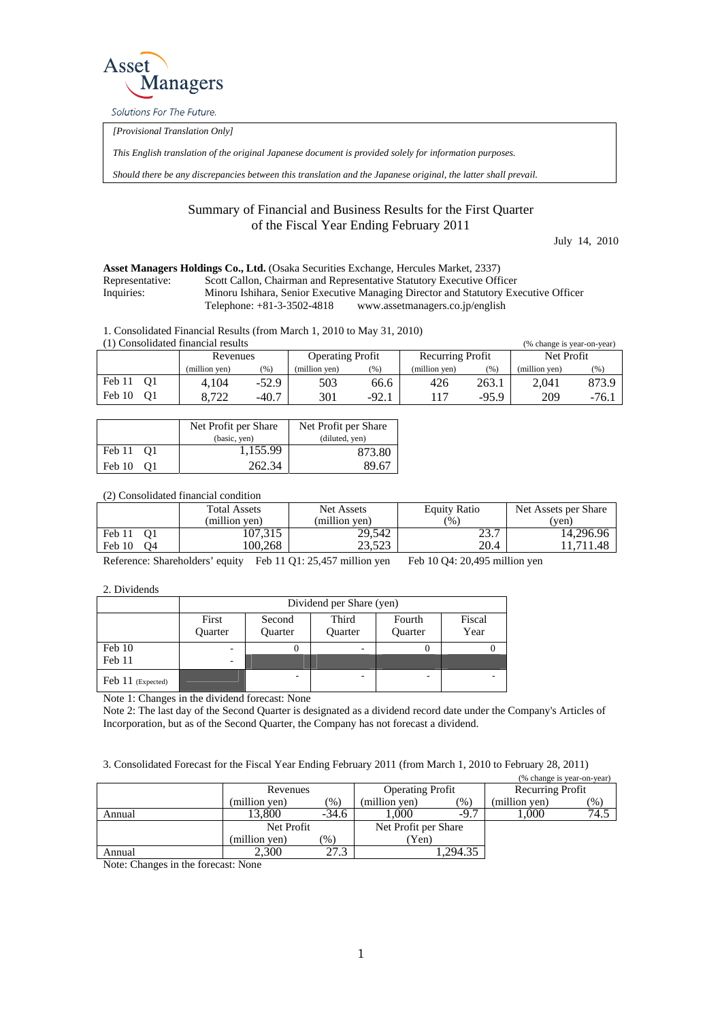

Solutions For The Future.

*[Provisional Translation Only]* 

*This English translation of the original Japanese document is provided solely for information purposes.* 

*Should there be any discrepancies between this translation and the Japanese original, the latter shall prevail.*

## Summary of Financial and Business Results for the First Quarter of the Fiscal Year Ending February 2011

July 14, 2010

## **Asset Managers Holdings Co., Ltd.** (Osaka Securities Exchange, Hercules Market, 2337)

Representative: Scott Callon, Chairman and Representative Statutory Executive Officer

Inquiries: Minoru Ishihara, Senior Executive Managing Director and Statutory Executive Officer Telephone: +81-3-3502-4818 www.assetmanagers.co.jp/english

1. Consolidated Financial Results (from March 1, 2010 to May 31, 2010)

| (1) Consolidated financial results<br>(% change is year-on-year) |               |                         |               |                  |               |            |               |        |
|------------------------------------------------------------------|---------------|-------------------------|---------------|------------------|---------------|------------|---------------|--------|
| Revenues                                                         |               | <b>Operating Profit</b> |               | Recurring Profit |               | Net Profit |               |        |
|                                                                  | (million ven) | (96)                    | (million ven) | (%)              | (million ven) | (96)       | (million ven) | (96)   |
| Feb 11<br>01                                                     | 4.104         | $-52.9$                 | 503           | 66.6             | 426           | 263.1      | 2.041         | 873.9  |
| Feb 10<br>01                                                     | 8.722         | $-40.7$                 | 301           | $-92.1$          |               | $-95.9$    | 209           | $-76.$ |

|                      | Net Profit per Share | Net Profit per Share |
|----------------------|----------------------|----------------------|
|                      | (basic, yen)         | (diluted, yen)       |
| Feb 11 01            | 1,155.99             | 873.80               |
| Feb 10<br>$\Omega$ 1 | 262.34               | 89.67                |

(2) Consolidated financial condition

|              | <b>Total Assets</b><br>(million ven) | Net Assets<br>(million ven) | Equity Ratio<br>$\frac{1}{2}$ | Net Assets per Share<br>(ven) |
|--------------|--------------------------------------|-----------------------------|-------------------------------|-------------------------------|
| Feb 11<br>01 | 107,315                              | 29,542                      | 23.7                          | 14.296.96                     |
| Feb 10<br>Ο4 | 00.268                               | 23.523                      | 20.4                          | .711.48                       |

Reference: Shareholders' equity Feb 11 Q1: 25,457 million yen Feb 10 Q4: 20,495 million yen

2. Dividends

|                   | Dividend per Share (yen) |                   |                  |                   |                |  |  |
|-------------------|--------------------------|-------------------|------------------|-------------------|----------------|--|--|
|                   | First<br><b>Ouarter</b>  | Second<br>Quarter | Third<br>Quarter | Fourth<br>Quarter | Fiscal<br>Year |  |  |
| Feb 10<br>Feb 11  | -<br>-                   |                   |                  |                   |                |  |  |
| Feb 11 (Expected) |                          | -                 |                  |                   | -              |  |  |

Note 1: Changes in the dividend forecast: None

Note 2: The last day of the Second Quarter is designated as a dividend record date under the Company's Articles of Incorporation, but as of the Second Quarter, the Company has not forecast a dividend.

3. Consolidated Forecast for the Fiscal Year Ending February 2011 (from March 1, 2010 to February 28, 2011)

|        |               |         |                         |               | (% change is year-on-year) |                         |
|--------|---------------|---------|-------------------------|---------------|----------------------------|-------------------------|
|        | Revenues      |         | <b>Operating Profit</b> |               | Recurring Profit           |                         |
|        | (million ven) | $(\%)$  | (million ven)           | $(%^{(6)}_0)$ | (million yen)              | $\gamma$ <sub>0</sub> ) |
| Annual | 13.800        | $-34.6$ | .000                    | $-9.7$        | .000                       | 74.5                    |
|        | Net Profit    |         | Net Profit per Share    |               |                            |                         |
|        | (million yen) | (% )    | (Yen                    |               |                            |                         |
| Annual | 2.300         | 27.3    |                         | .294.35       |                            |                         |

Note: Changes in the forecast: None